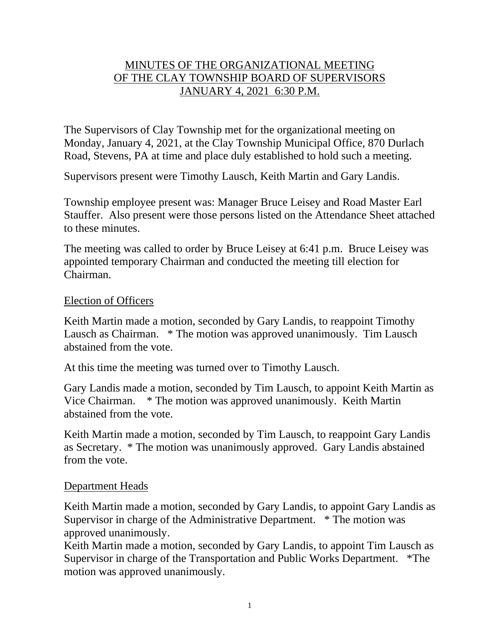# MINUTES OF THE ORGANIZATIONAL MEETING OF THE CLAY TOWNSHIP BOARD OF SUPERVISORS JANUARY 4, 2021 6:30 P.M.

The Supervisors of Clay Township met for the organizational meeting on Monday, January 4, 2021, at the Clay Township Municipal Office, 870 Durlach Road, Stevens, PA at time and place duly established to hold such a meeting.

Supervisors present were Timothy Lausch, Keith Martin and Gary Landis.

Township employee present was: Manager Bruce Leisey and Road Master Earl Stauffer. Also present were those persons listed on the Attendance Sheet attached to these minutes.

The meeting was called to order by Bruce Leisey at 6:41 p.m. Bruce Leisey was appointed temporary Chairman and conducted the meeting till election for Chairman.

#### Election of Officers

Keith Martin made a motion, seconded by Gary Landis, to reappoint Timothy Lausch as Chairman. \* The motion was approved unanimously. Tim Lausch abstained from the vote.

At this time the meeting was turned over to Timothy Lausch.

Gary Landis made a motion, seconded by Tim Lausch, to appoint Keith Martin as Vice Chairman. \* The motion was approved unanimously. Keith Martin abstained from the vote.

Keith Martin made a motion, seconded by Tim Lausch, to reappoint Gary Landis as Secretary. \* The motion was unanimously approved. Gary Landis abstained from the vote.

#### Department Heads

Keith Martin made a motion, seconded by Gary Landis, to appoint Gary Landis as Supervisor in charge of the Administrative Department. \* The motion was approved unanimously.

Keith Martin made a motion, seconded by Gary Landis, to appoint Tim Lausch as Supervisor in charge of the Transportation and Public Works Department. \*The motion was approved unanimously.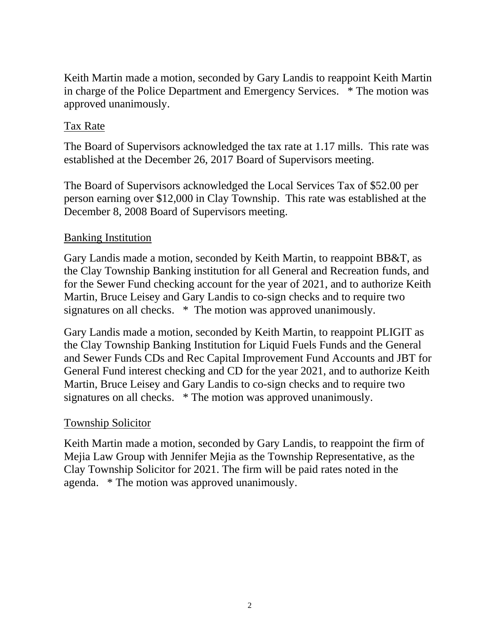Keith Martin made a motion, seconded by Gary Landis to reappoint Keith Martin in charge of the Police Department and Emergency Services. \* The motion was approved unanimously.

# Tax Rate

The Board of Supervisors acknowledged the tax rate at 1.17 mills. This rate was established at the December 26, 2017 Board of Supervisors meeting.

The Board of Supervisors acknowledged the Local Services Tax of \$52.00 per person earning over \$12,000 in Clay Township. This rate was established at the December 8, 2008 Board of Supervisors meeting.

# Banking Institution

Gary Landis made a motion, seconded by Keith Martin, to reappoint BB&T, as the Clay Township Banking institution for all General and Recreation funds, and for the Sewer Fund checking account for the year of 2021, and to authorize Keith Martin, Bruce Leisey and Gary Landis to co-sign checks and to require two signatures on all checks. \* The motion was approved unanimously.

Gary Landis made a motion, seconded by Keith Martin, to reappoint PLIGIT as the Clay Township Banking Institution for Liquid Fuels Funds and the General and Sewer Funds CDs and Rec Capital Improvement Fund Accounts and JBT for General Fund interest checking and CD for the year 2021, and to authorize Keith Martin, Bruce Leisey and Gary Landis to co-sign checks and to require two signatures on all checks. \* The motion was approved unanimously.

# Township Solicitor

Keith Martin made a motion, seconded by Gary Landis, to reappoint the firm of Mejia Law Group with Jennifer Mejia as the Township Representative, as the Clay Township Solicitor for 2021. The firm will be paid rates noted in the agenda. \* The motion was approved unanimously.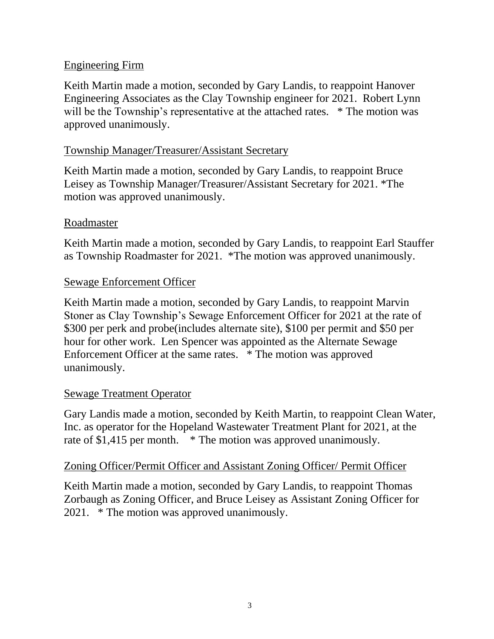## Engineering Firm

Keith Martin made a motion, seconded by Gary Landis, to reappoint Hanover Engineering Associates as the Clay Township engineer for 2021. Robert Lynn will be the Township's representative at the attached rates. \* The motion was approved unanimously.

# Township Manager/Treasurer/Assistant Secretary

Keith Martin made a motion, seconded by Gary Landis, to reappoint Bruce Leisey as Township Manager/Treasurer/Assistant Secretary for 2021. \*The motion was approved unanimously.

#### Roadmaster

Keith Martin made a motion, seconded by Gary Landis, to reappoint Earl Stauffer as Township Roadmaster for 2021. \*The motion was approved unanimously.

#### Sewage Enforcement Officer

Keith Martin made a motion, seconded by Gary Landis, to reappoint Marvin Stoner as Clay Township's Sewage Enforcement Officer for 2021 at the rate of \$300 per perk and probe(includes alternate site), \$100 per permit and \$50 per hour for other work. Len Spencer was appointed as the Alternate Sewage Enforcement Officer at the same rates. \* The motion was approved unanimously.

#### Sewage Treatment Operator

Gary Landis made a motion, seconded by Keith Martin, to reappoint Clean Water, Inc. as operator for the Hopeland Wastewater Treatment Plant for 2021, at the rate of \$1,415 per month. \* The motion was approved unanimously.

## Zoning Officer/Permit Officer and Assistant Zoning Officer/ Permit Officer

Keith Martin made a motion, seconded by Gary Landis, to reappoint Thomas Zorbaugh as Zoning Officer, and Bruce Leisey as Assistant Zoning Officer for 2021. \* The motion was approved unanimously.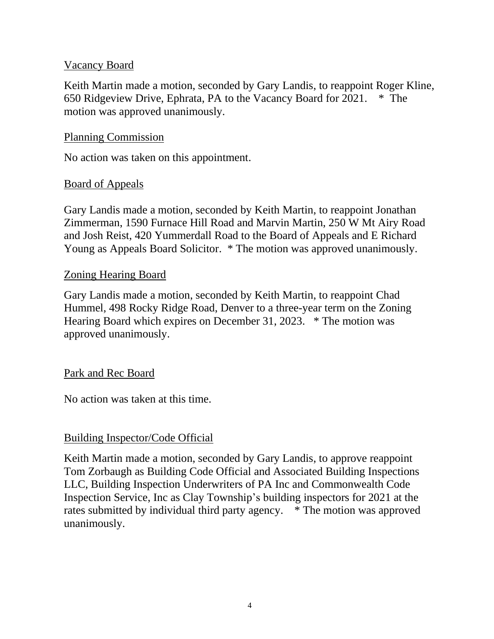#### Vacancy Board

Keith Martin made a motion, seconded by Gary Landis, to reappoint Roger Kline, 650 Ridgeview Drive, Ephrata, PA to the Vacancy Board for 2021. \* The motion was approved unanimously.

#### Planning Commission

No action was taken on this appointment.

#### Board of Appeals

Gary Landis made a motion, seconded by Keith Martin, to reappoint Jonathan Zimmerman, 1590 Furnace Hill Road and Marvin Martin, 250 W Mt Airy Road and Josh Reist, 420 Yummerdall Road to the Board of Appeals and E Richard Young as Appeals Board Solicitor. \* The motion was approved unanimously.

#### Zoning Hearing Board

Gary Landis made a motion, seconded by Keith Martin, to reappoint Chad Hummel, 498 Rocky Ridge Road, Denver to a three-year term on the Zoning Hearing Board which expires on December 31, 2023. \* The motion was approved unanimously.

#### Park and Rec Board

No action was taken at this time.

## Building Inspector/Code Official

Keith Martin made a motion, seconded by Gary Landis, to approve reappoint Tom Zorbaugh as Building Code Official and Associated Building Inspections LLC, Building Inspection Underwriters of PA Inc and Commonwealth Code Inspection Service, Inc as Clay Township's building inspectors for 2021 at the rates submitted by individual third party agency. \* The motion was approved unanimously.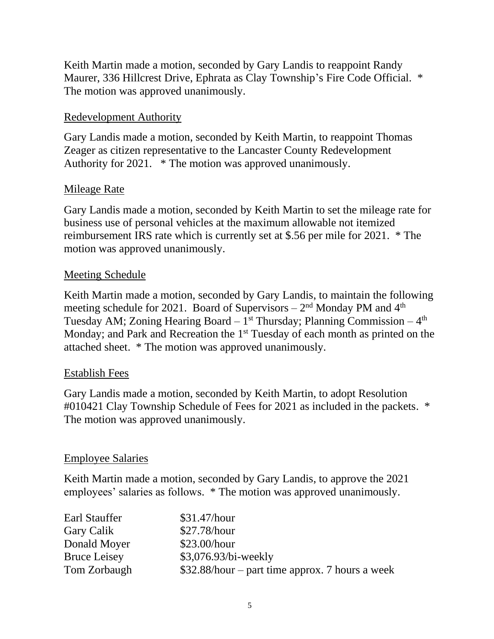Keith Martin made a motion, seconded by Gary Landis to reappoint Randy Maurer, 336 Hillcrest Drive, Ephrata as Clay Township's Fire Code Official. \* The motion was approved unanimously.

# Redevelopment Authority

Gary Landis made a motion, seconded by Keith Martin, to reappoint Thomas Zeager as citizen representative to the Lancaster County Redevelopment Authority for 2021. \* The motion was approved unanimously.

## Mileage Rate

Gary Landis made a motion, seconded by Keith Martin to set the mileage rate for business use of personal vehicles at the maximum allowable not itemized reimbursement IRS rate which is currently set at \$.56 per mile for 2021. \* The motion was approved unanimously.

## Meeting Schedule

Keith Martin made a motion, seconded by Gary Landis, to maintain the following meeting schedule for 2021. Board of Supervisors  $-2<sup>nd</sup>$  Monday PM and  $4<sup>th</sup>$ Tuesday AM; Zoning Hearing Board  $-1$ <sup>st</sup> Thursday; Planning Commission  $-4<sup>th</sup>$ Monday; and Park and Recreation the 1<sup>st</sup> Tuesday of each month as printed on the attached sheet. \* The motion was approved unanimously.

## Establish Fees

Gary Landis made a motion, seconded by Keith Martin, to adopt Resolution #010421 Clay Township Schedule of Fees for 2021 as included in the packets. \* The motion was approved unanimously.

## Employee Salaries

Keith Martin made a motion, seconded by Gary Landis, to approve the 2021 employees' salaries as follows. \* The motion was approved unanimously.

| Earl Stauffer       | \$31.47/hour                                     |
|---------------------|--------------------------------------------------|
| Gary Calik          | \$27.78/hour                                     |
| Donald Moyer        | \$23.00/hour                                     |
| <b>Bruce Leisey</b> | $$3,076.93/bi$ -weekly                           |
| Tom Zorbaugh        | $$32.88/hour$ – part time approx. 7 hours a week |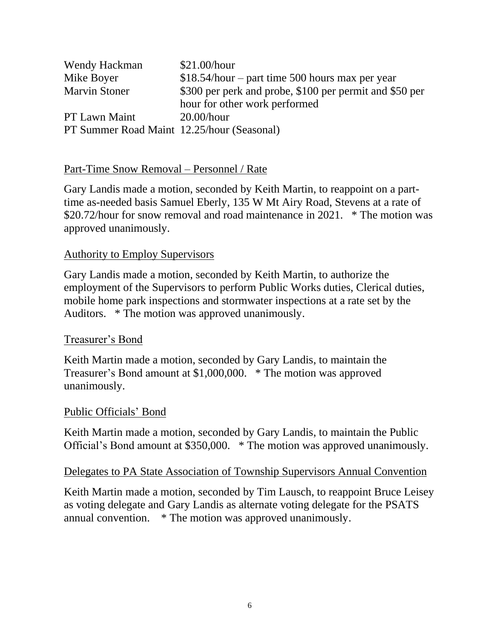| Wendy Hackman                              | \$21.00/hour                                            |
|--------------------------------------------|---------------------------------------------------------|
| Mike Boyer                                 | $$18.54/hour$ – part time 500 hours max per year        |
| <b>Marvin Stoner</b>                       | \$300 per perk and probe, \$100 per permit and \$50 per |
|                                            | hour for other work performed                           |
| PT Lawn Maint                              | $20.00/h$ our                                           |
| PT Summer Road Maint 12.25/hour (Seasonal) |                                                         |

#### Part-Time Snow Removal – Personnel / Rate

Gary Landis made a motion, seconded by Keith Martin, to reappoint on a parttime as-needed basis Samuel Eberly, 135 W Mt Airy Road, Stevens at a rate of \$20.72/hour for snow removal and road maintenance in 2021. \* The motion was approved unanimously.

#### Authority to Employ Supervisors

Gary Landis made a motion, seconded by Keith Martin, to authorize the employment of the Supervisors to perform Public Works duties, Clerical duties, mobile home park inspections and stormwater inspections at a rate set by the Auditors. \* The motion was approved unanimously.

#### Treasurer's Bond

Keith Martin made a motion, seconded by Gary Landis, to maintain the Treasurer's Bond amount at \$1,000,000. \* The motion was approved unanimously.

#### Public Officials' Bond

Keith Martin made a motion, seconded by Gary Landis, to maintain the Public Official's Bond amount at \$350,000. \* The motion was approved unanimously.

#### Delegates to PA State Association of Township Supervisors Annual Convention

Keith Martin made a motion, seconded by Tim Lausch, to reappoint Bruce Leisey as voting delegate and Gary Landis as alternate voting delegate for the PSATS annual convention. \* The motion was approved unanimously.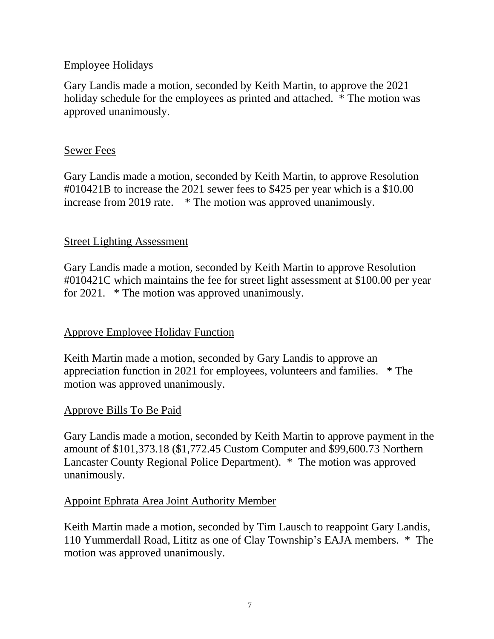# Employee Holidays

Gary Landis made a motion, seconded by Keith Martin, to approve the 2021 holiday schedule for the employees as printed and attached. \* The motion was approved unanimously.

## Sewer Fees

Gary Landis made a motion, seconded by Keith Martin, to approve Resolution #010421B to increase the 2021 sewer fees to \$425 per year which is a \$10.00 increase from 2019 rate. \* The motion was approved unanimously.

# Street Lighting Assessment

Gary Landis made a motion, seconded by Keith Martin to approve Resolution #010421C which maintains the fee for street light assessment at \$100.00 per year for 2021. \* The motion was approved unanimously.

## Approve Employee Holiday Function

Keith Martin made a motion, seconded by Gary Landis to approve an appreciation function in 2021 for employees, volunteers and families. \* The motion was approved unanimously.

## Approve Bills To Be Paid

Gary Landis made a motion, seconded by Keith Martin to approve payment in the amount of \$101,373.18 (\$1,772.45 Custom Computer and \$99,600.73 Northern Lancaster County Regional Police Department). \* The motion was approved unanimously.

## Appoint Ephrata Area Joint Authority Member

Keith Martin made a motion, seconded by Tim Lausch to reappoint Gary Landis, 110 Yummerdall Road, Lititz as one of Clay Township's EAJA members. \* The motion was approved unanimously.